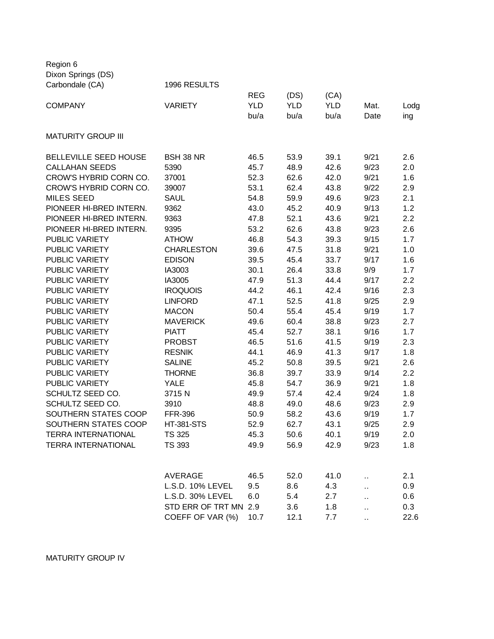Dixon Springs (DS) Carbondale (CA) 1996 RESULTS REG (DS) (CA) COMPANY VARIETY YLD YLD YLD Mat. Lodg bu/a bu/a bu/a Date ing MATURITY GROUP III BELLEVILLE SEED HOUSE BSH 38 NR 46.5 53.9 39.1 9/21 2.6 CALLAHAN SEEDS 5390 45.7 48.9 42.6 9/23 2.0 CROW'S HYBRID CORN CO. 37001 52.3 62.6 42.0 9/21 1.6 CROW'S HYBRID CORN CO. 39007 53.1 62.4 43.8 9/22 2.9 MILES SEED SAUL 54.8 59.9 49.6 9/23 2.1 PIONEER HI-BRED INTERN. 9362 43.0 45.2 40.9 9/13 1.2 PIONEER HI-BRED INTERN. 9363 47.8 52.1 43.6 9/21 2.2 PIONEER HI-BRED INTERN. 9395 53.2 62.6 43.8 9/23 2.6 PUBLIC VARIETY ATHOW 46.8 54.3 39.3 9/15 1.7 PUBLIC VARIETY CHARLESTON 39.6 47.5 31.8 9/21 1.0 PUBLIC VARIETY EDISON 39.5 45.4 33.7 9/17 1.6 PUBLIC VARIETY IA3003 30.1 26.4 33.8 9/9 1.7 PUBLIC VARIETY IA3005 47.9 51.3 44.4 9/17 2.2 PUBLIC VARIETY IROQUOIS 44.2 46.1 42.4 9/16 2.3 PUBLIC VARIETY LINFORD 47.1 52.5 41.8 9/25 2.9 PUBLIC VARIETY MACON 50.4 55.4 45.4 9/19 1.7 PUBLIC VARIETY MAVERICK 49.6 60.4 38.8 9/23 2.7 PUBLIC VARIETY PIATT 45.4 52.7 38.1 9/16 1.7 PUBLIC VARIETY PROBST 46.5 51.6 41.5 9/19 2.3 PUBLIC VARIETY RESNIK 44.1 46.9 41.3 9/17 1.8 PUBLIC VARIETY SALINE 45.2 50.8 39.5 9/21 2.6 PUBLIC VARIETY THORNE 36.8 39.7 33.9 9/14 2.2 PUBLIC VARIETY YALE 45.8 54.7 36.9 9/21 1.8 SCHULTZ SEED CO. 3715 N 49.9 57.4 42.4 9/24 1.8 SCHULTZ SEED CO. 3910 48.8 49.0 48.6 9/23 2.9 SOUTHERN STATES COOP FFR-396 50.9 58.2 43.6 9/19 1.7 SOUTHERN STATES COOP HT-381-STS 52.9 62.7 43.1 9/25 2.9 TERRA INTERNATIONAL TS 325 45.3 50.6 40.1 9/19 2.0 TERRA INTERNATIONAL TS 393 49.9 56.9 42.9 9/23 1.8 AVERAGE 46.5 52.0 41.0 ... 2.1 L.S.D. 10% LEVEL 9.5 8.6 4.3 ... 0.9 L.S.D. 30% LEVEL 6.0 5.4 2.7 .. 0.6 STD ERR OF TRT MN 2.9 3.6 1.8 ... 0.3

COEFF OF VAR (%) 10.7 12.1 7.7 .. 22.6

MATURITY GROUP IV

Region 6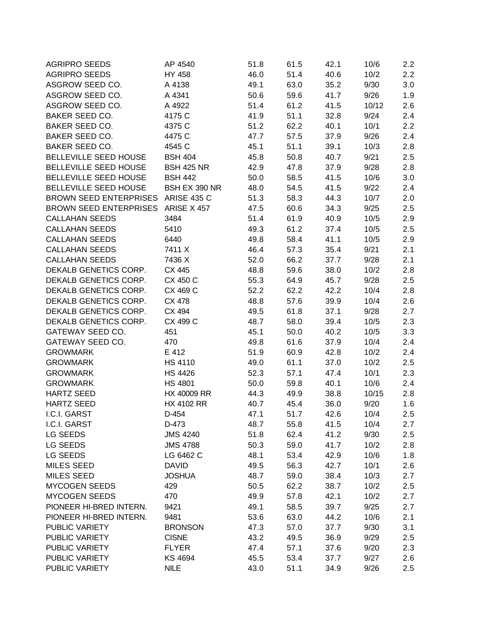| <b>AGRIPRO SEEDS</b>               | AP 4540            | 51.8 | 61.5 | 42.1 | 10/6  | $2.2\phantom{0}$ |
|------------------------------------|--------------------|------|------|------|-------|------------------|
| <b>AGRIPRO SEEDS</b>               | HY 458             | 46.0 | 51.4 | 40.6 | 10/2  | 2.2              |
| ASGROW SEED CO.                    | A 4138             | 49.1 | 63.0 | 35.2 | 9/30  | 3.0              |
| ASGROW SEED CO.                    | A 4341             | 50.6 | 59.6 | 41.7 | 9/26  | 1.9              |
| ASGROW SEED CO.                    | A 4922             | 51.4 | 61.2 | 41.5 | 10/12 | 2.6              |
| BAKER SEED CO.                     | 4175 C             | 41.9 | 51.1 | 32.8 | 9/24  | 2.4              |
| BAKER SEED CO.                     | 4375 C             | 51.2 | 62.2 | 40.1 | 10/1  | 2.2              |
| BAKER SEED CO.                     | 4475 C             | 47.7 | 57.5 | 37.9 | 9/26  | 2.4              |
| BAKER SEED CO.                     | 4545 C             | 45.1 | 51.1 | 39.1 | 10/3  | 2.8              |
| BELLEVILLE SEED HOUSE              | <b>BSH 404</b>     | 45.8 | 50.8 | 40.7 | 9/21  | 2.5              |
| BELLEVILLE SEED HOUSE              | <b>BSH 425 NR</b>  | 42.9 | 47.8 | 37.9 | 9/28  | 2.8              |
| BELLEVILLE SEED HOUSE              | <b>BSH 442</b>     | 50.0 | 58.5 | 41.5 | 10/6  | 3.0              |
| BELLEVILLE SEED HOUSE              | BSH EX 390 NR      | 48.0 | 54.5 | 41.5 | 9/22  | 2.4              |
| <b>BROWN SEED ENTERPRISES</b>      | <b>ARISE 435 C</b> | 51.3 | 58.3 | 44.3 | 10/7  | 2.0              |
| BROWN SEED ENTERPRISES ARISE X 457 |                    | 47.5 | 60.6 | 34.3 | 9/25  | 2.5              |
| <b>CALLAHAN SEEDS</b>              | 3484               | 51.4 | 61.9 | 40.9 | 10/5  | 2.9              |
| <b>CALLAHAN SEEDS</b>              | 5410               | 49.3 | 61.2 | 37.4 | 10/5  | 2.5              |
| <b>CALLAHAN SEEDS</b>              | 6440               | 49.8 | 58.4 | 41.1 | 10/5  | 2.9              |
| <b>CALLAHAN SEEDS</b>              | 7411 X             | 46.4 | 57.3 | 35.4 | 9/21  | 2.1              |
| <b>CALLAHAN SEEDS</b>              | 7436 X             | 52.0 | 66.2 | 37.7 | 9/28  | 2.1              |
| DEKALB GENETICS CORP.              | CX 445             | 48.8 | 59.6 | 38.0 | 10/2  | 2.8              |
| DEKALB GENETICS CORP.              | CX 450 C           | 55.3 | 64.9 | 45.7 | 9/28  | 2.5              |
| DEKALB GENETICS CORP.              | CX 469 C           | 52.2 | 62.2 | 42.2 | 10/4  | 2.8              |
| DEKALB GENETICS CORP.              | CX 478             | 48.8 | 57.6 | 39.9 | 10/4  | 2.6              |
| DEKALB GENETICS CORP.              | CX 494             | 49.5 | 61.8 | 37.1 | 9/28  | 2.7              |
| DEKALB GENETICS CORP.              | CX 499 C           | 48.7 | 58.0 | 39.4 | 10/5  | 2.3              |
| GATEWAY SEED CO.                   | 451                | 45.1 | 50.0 | 40.2 | 10/5  | 3.3              |
| GATEWAY SEED CO.                   | 470                | 49.8 | 61.6 | 37.9 | 10/4  | 2.4              |
| <b>GROWMARK</b>                    | E 412              | 51.9 | 60.9 | 42.8 | 10/2  | 2.4              |
| <b>GROWMARK</b>                    | <b>HS 4110</b>     | 49.0 | 61.1 | 37.0 | 10/2  | 2.5              |
| <b>GROWMARK</b>                    | <b>HS 4426</b>     | 52.3 | 57.1 | 47.4 | 10/1  | 2.3              |
| <b>GROWMARK</b>                    | <b>HS 4801</b>     | 50.0 | 59.8 | 40.1 | 10/6  | 2.4              |
| <b>HARTZ SEED</b>                  | HX 40009 RR        | 44.3 | 49.9 | 38.8 | 10/15 | 2.8              |
| <b>HARTZ SEED</b>                  | <b>HX 4102 RR</b>  | 40.7 | 45.4 | 36.0 | 9/20  | 1.6              |
| I.C.I. GARST                       | D-454              | 47.1 | 51.7 | 42.6 | 10/4  | 2.5              |
| I.C.I. GARST                       | D-473              | 48.7 | 55.8 | 41.5 | 10/4  | 2.7              |
| LG SEEDS                           | <b>JMS 4240</b>    | 51.8 | 62.4 | 41.2 | 9/30  | 2.5              |
| LG SEEDS                           | <b>JMS 4788</b>    | 50.3 | 59.0 | 41.7 | 10/2  | 2.8              |
| LG SEEDS                           | LG 6462 C          | 48.1 | 53.4 | 42.9 | 10/6  | 1.8              |
| <b>MILES SEED</b>                  | <b>DAVID</b>       | 49.5 | 56.3 | 42.7 | 10/1  | 2.6              |
| <b>MILES SEED</b>                  | <b>JOSHUA</b>      | 48.7 | 59.0 | 38.4 | 10/3  | 2.7              |
| MYCOGEN SEEDS                      | 429                | 50.5 | 62.2 | 38.7 | 10/2  | $2.5\,$          |
| <b>MYCOGEN SEEDS</b>               | 470                | 49.9 | 57.8 | 42.1 | 10/2  | 2.7              |
| PIONEER HI-BRED INTERN.            | 9421               | 49.1 | 58.5 | 39.7 | 9/25  | 2.7              |
| PIONEER HI-BRED INTERN.            | 9481               | 53.6 | 63.0 | 44.2 | 10/6  | 2.1              |
|                                    |                    |      |      |      |       |                  |
| PUBLIC VARIETY                     | <b>BRONSON</b>     | 47.3 | 57.0 | 37.7 | 9/30  | 3.1              |
| PUBLIC VARIETY                     | <b>CISNE</b>       | 43.2 | 49.5 | 36.9 | 9/29  | 2.5              |
| PUBLIC VARIETY                     | <b>FLYER</b>       | 47.4 | 57.1 | 37.6 | 9/20  | 2.3              |
| PUBLIC VARIETY                     | <b>KS 4694</b>     | 45.5 | 53.4 | 37.7 | 9/27  | 2.6              |
| PUBLIC VARIETY                     | <b>NILE</b>        | 43.0 | 51.1 | 34.9 | 9/26  | 2.5              |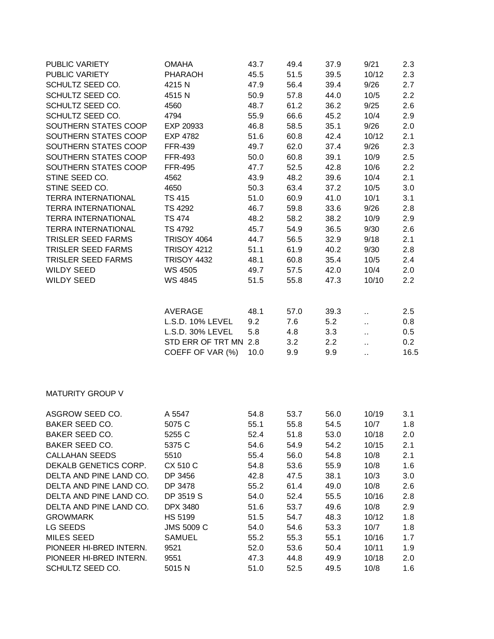| PUBLIC VARIETY             | <b>OMAHA</b>                                                                                 | 43.7                       | 49.4                             | 37.9                             | 9/21                                                          | 2.3                              |
|----------------------------|----------------------------------------------------------------------------------------------|----------------------------|----------------------------------|----------------------------------|---------------------------------------------------------------|----------------------------------|
| PUBLIC VARIETY             | PHARAOH                                                                                      | 45.5                       | 51.5                             | 39.5                             | 10/12                                                         | 2.3                              |
| SCHULTZ SEED CO.           | 4215N                                                                                        | 47.9                       | 56.4                             | 39.4                             | 9/26                                                          | 2.7                              |
| SCHULTZ SEED CO.           | 4515N                                                                                        | 50.9                       | 57.8                             | 44.0                             | 10/5                                                          | 2.2                              |
| SCHULTZ SEED CO.           | 4560                                                                                         | 48.7                       | 61.2                             | 36.2                             | 9/25                                                          | 2.6                              |
| SCHULTZ SEED CO.           | 4794                                                                                         | 55.9                       | 66.6                             | 45.2                             | 10/4                                                          | 2.9                              |
| SOUTHERN STATES COOP       | EXP 20933                                                                                    | 46.8                       | 58.5                             | 35.1                             | 9/26                                                          | 2.0                              |
| SOUTHERN STATES COOP       | <b>EXP 4782</b>                                                                              | 51.6                       | 60.8                             | 42.4                             | 10/12                                                         | 2.1                              |
| SOUTHERN STATES COOP       | <b>FFR-439</b>                                                                               | 49.7                       | 62.0                             | 37.4                             | 9/26                                                          | 2.3                              |
| SOUTHERN STATES COOP       | <b>FFR-493</b>                                                                               | 50.0                       | 60.8                             | 39.1                             | 10/9                                                          | 2.5                              |
| SOUTHERN STATES COOP       | <b>FFR-495</b>                                                                               | 47.7                       | 52.5                             | 42.8                             | 10/6                                                          | 2.2                              |
| STINE SEED CO.             | 4562                                                                                         | 43.9                       | 48.2                             | 39.6                             | 10/4                                                          | 2.1                              |
| STINE SEED CO.             | 4650                                                                                         | 50.3                       | 63.4                             | 37.2                             | 10/5                                                          | 3.0                              |
| <b>TERRA INTERNATIONAL</b> | <b>TS 415</b>                                                                                | 51.0                       | 60.9                             | 41.0                             | 10/1                                                          | 3.1                              |
| <b>TERRA INTERNATIONAL</b> | TS 4292                                                                                      | 46.7                       | 59.8                             | 33.6                             | 9/26                                                          | 2.8                              |
| <b>TERRA INTERNATIONAL</b> | <b>TS 474</b>                                                                                | 48.2                       | 58.2                             | 38.2                             | 10/9                                                          | 2.9                              |
| <b>TERRA INTERNATIONAL</b> | <b>TS 4792</b>                                                                               | 45.7                       | 54.9                             | 36.5                             | 9/30                                                          | 2.6                              |
| TRISLER SEED FARMS         | <b>TRISOY 4064</b>                                                                           | 44.7                       | 56.5                             | 32.9                             | 9/18                                                          | 2.1                              |
| TRISLER SEED FARMS         | <b>TRISOY 4212</b>                                                                           | 51.1                       | 61.9                             | 40.2                             | 9/30                                                          | 2.8                              |
| TRISLER SEED FARMS         | <b>TRISOY 4432</b>                                                                           | 48.1                       | 60.8                             | 35.4                             | 10/5                                                          | 2.4                              |
| <b>WILDY SEED</b>          | WS 4505                                                                                      | 49.7                       | 57.5                             | 42.0                             | 10/4                                                          | 2.0                              |
| <b>WILDY SEED</b>          | WS 4845                                                                                      | 51.5                       | 55.8                             | 47.3                             | 10/10                                                         | 2.2                              |
|                            | AVERAGE<br>L.S.D. 10% LEVEL<br>L.S.D. 30% LEVEL<br>STD ERR OF TRT MN 2.8<br>COEFF OF VAR (%) | 48.1<br>9.2<br>5.8<br>10.0 | 57.0<br>7.6<br>4.8<br>3.2<br>9.9 | 39.3<br>5.2<br>3.3<br>2.2<br>9.9 | $\ddot{\phantom{1}}$<br>П,<br>Ш<br>$\ddot{\phantom{1}}$<br>v. | 2.5<br>0.8<br>0.5<br>0.2<br>16.5 |
| <b>MATURITY GROUP V</b>    |                                                                                              |                            |                                  |                                  |                                                               |                                  |
| ASGROW SEED CO.            | A 5547                                                                                       | 54.8                       | 53.7                             | 56.0                             | 10/19                                                         | 3.1                              |
| BAKER SEED CO.             | 5075 C                                                                                       | 55.1                       | 55.8                             | 54.5                             | 10/7                                                          | 1.8                              |
| BAKER SEED CO.             | 5255 C                                                                                       | 52.4                       | 51.8                             | 53.0                             | 10/18                                                         | 2.0                              |
| BAKER SEED CO.             | 5375 C                                                                                       | 54.6                       | 54.9                             | 54.2                             | 10/15                                                         | 2.1                              |
| <b>CALLAHAN SEEDS</b>      | 5510                                                                                         | 55.4                       | 56.0                             | 54.8                             | 10/8                                                          | 2.1                              |
| DEKALB GENETICS CORP.      | CX 510 C                                                                                     | 54.8                       | 53.6                             | 55.9                             | 10/8                                                          | 1.6                              |
| DELTA AND PINE LAND CO.    | DP 3456                                                                                      | 42.8                       | 47.5                             | 38.1                             | 10/3                                                          | 3.0                              |
| DELTA AND PINE LAND CO.    | DP 3478                                                                                      | 55.2                       | 61.4                             | 49.0                             | 10/8                                                          | 2.6                              |
| DELTA AND PINE LAND CO.    | DP 3519 S                                                                                    | 54.0                       | 52.4                             | 55.5                             | 10/16                                                         | 2.8                              |
| DELTA AND PINE LAND CO.    | DPX 3480                                                                                     | 51.6                       | 53.7                             | 49.6                             | 10/8                                                          | 2.9                              |
| <b>GROWMARK</b>            | <b>HS 5199</b>                                                                               | 51.5                       | 54.7                             | 48.3                             | 10/12                                                         | 1.8                              |
| LG SEEDS                   | <b>JMS 5009 C</b>                                                                            | 54.0                       | 54.6                             | 53.3                             | 10/7                                                          | 1.8                              |
| <b>MILES SEED</b>          | <b>SAMUEL</b>                                                                                | 55.2                       | 55.3                             | 55.1                             | 10/16                                                         | 1.7                              |
| PIONEER HI-BRED INTERN.    | 9521                                                                                         | 52.0                       | 53.6                             | 50.4                             | 10/11                                                         | 1.9                              |
| PIONEER HI-BRED INTERN.    | 9551                                                                                         | 47.3                       | 44.8                             | 49.9                             | 10/18                                                         | 2.0                              |
| SCHULTZ SEED CO.           | 5015 N                                                                                       | 51.0                       | 52.5                             | 49.5                             | 10/8                                                          | 1.6                              |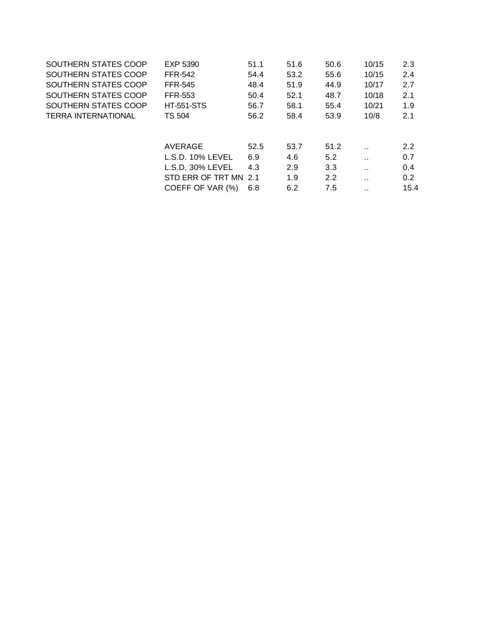| SOUTHERN STATES COOP       | EXP 5390              | 51.1 | 51.6 | 50.6          | 10/15                | 2.3           |
|----------------------------|-----------------------|------|------|---------------|----------------------|---------------|
| SOUTHERN STATES COOP       | <b>FFR-542</b>        | 54.4 | 53.2 | 55.6          | 10/15                | 2.4           |
| SOUTHERN STATES COOP       | <b>FFR-545</b>        | 48.4 | 51.9 | 44.9          | 10/17                | 2.7           |
| SOUTHERN STATES COOP       | <b>FFR-553</b>        | 50.4 | 52.1 | 48.7          | 10/18                | 2.1           |
| SOUTHERN STATES COOP       | <b>HT-551-STS</b>     | 56.7 | 58.1 | 55.4          | 10/21                | 1.9           |
| <b>TERRA INTERNATIONAL</b> | <b>TS 504</b>         | 56.2 | 58.4 | 53.9          | 10/8                 | 2.1           |
|                            |                       |      |      |               |                      |               |
|                            |                       |      |      |               |                      |               |
|                            | AVERAGE               | 52.5 | 53.7 | 51.2          | $\ddot{\phantom{a}}$ | 2.2           |
|                            | L.S.D. 10% LEVEL      | 6.9  | 4.6  | 5.2           | $\ddot{\phantom{a}}$ | 0.7           |
|                            | $L.S.D. 30\% LEVEL$   | 4.3  | 2.9  | 3.3           | $\ddot{\phantom{a}}$ | 0.4           |
|                            | STD ERR OF TRT MN 2.1 |      | 1.9  | $2.2^{\circ}$ | $\ddot{\phantom{a}}$ | $0.2^{\circ}$ |
|                            | COEFF OF VAR (%)      | 6.8  | 6.2  | 7.5           | $\ddot{\phantom{a}}$ | 15.4          |
|                            |                       |      |      |               |                      |               |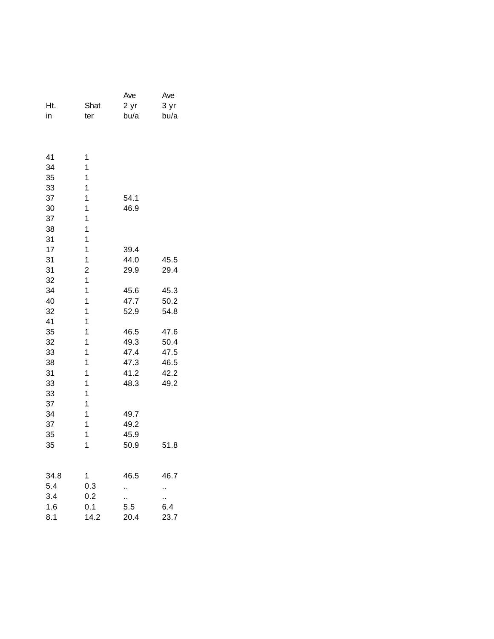|      |                | Ave  | Ave  |
|------|----------------|------|------|
| Ht.  | Shat           | 2 yr | 3 yr |
| in   | ter            | bu/a | bu/a |
|      |                |      |      |
|      |                |      |      |
|      |                |      |      |
| 41   | 1              |      |      |
| 34   | 1              |      |      |
| 35   | 1              |      |      |
| 33   | 1              |      |      |
| 37   | 1              | 54.1 |      |
| 30   | 1              | 46.9 |      |
| 37   | 1              |      |      |
| 38   | 1              |      |      |
| 31   | 1              |      |      |
| 17   | $\mathbf{1}$   | 39.4 |      |
| 31   | 1              | 44.0 | 45.5 |
| 31   | $\overline{c}$ | 29.9 | 29.4 |
| 32   | 1              |      |      |
| 34   | 1              | 45.6 | 45.3 |
| 40   | 1              | 47.7 | 50.2 |
| 32   | 1              | 52.9 | 54.8 |
| 41   | 1              |      |      |
| 35   | 1              | 46.5 | 47.6 |
| 32   | 1              | 49.3 | 50.4 |
| 33   | 1              | 47.4 | 47.5 |
| 38   | 1              | 47.3 | 46.5 |
| 31   | 1              | 41.2 | 42.2 |
| 33   | 1              | 48.3 | 49.2 |
| 33   | 1              |      |      |
| 37   | 1              |      |      |
| 34   | 1              | 49.7 |      |
| 37   | 1              | 49.2 |      |
| 35   | 1              | 45.9 |      |
| 35   | 1              | 50.9 | 51.8 |
|      |                |      |      |
|      |                |      |      |
| 34.8 | 1              | 46.5 | 46.7 |
| 5.4  | 0.3            | ٠.   | .,   |
| 3.4  | 0.2            | н.   | Ω.   |
| 1.6  | 0.1            | 5.5  | 6.4  |
| 8.1  | 14.2           | 20.4 | 23.7 |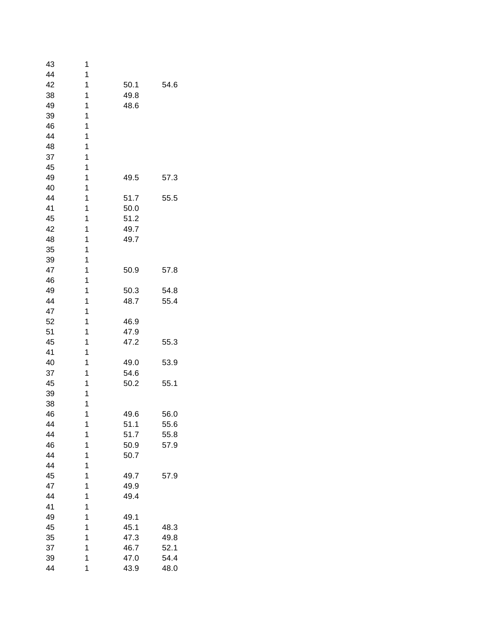| 43 | 1 |      |      |
|----|---|------|------|
| 44 | 1 |      |      |
| 42 | 1 | 50.1 | 54.6 |
| 38 | 1 | 49.8 |      |
| 49 | 1 | 48.6 |      |
| 39 | 1 |      |      |
| 46 | 1 |      |      |
| 44 | 1 |      |      |
| 48 | 1 |      |      |
| 37 | 1 |      |      |
| 45 | 1 |      |      |
| 49 | 1 | 49.5 | 57.3 |
| 40 | 1 |      |      |
| 44 | 1 | 51.7 | 55.5 |
| 41 | 1 | 50.0 |      |
| 45 | 1 | 51.2 |      |
| 42 | 1 | 49.7 |      |
| 48 | 1 |      |      |
|    | 1 | 49.7 |      |
| 35 |   |      |      |
| 39 | 1 |      |      |
| 47 | 1 | 50.9 | 57.8 |
| 46 | 1 |      |      |
| 49 | 1 | 50.3 | 54.8 |
| 44 | 1 | 48.7 | 55.4 |
| 47 | 1 |      |      |
| 52 | 1 | 46.9 |      |
| 51 | 1 | 47.9 |      |
| 45 | 1 | 47.2 | 55.3 |
| 41 | 1 |      |      |
| 40 | 1 | 49.0 | 53.9 |
| 37 | 1 | 54.6 |      |
| 45 | 1 | 50.2 | 55.1 |
| 39 | 1 |      |      |
| 38 | 1 |      |      |
| 46 | 1 | 49.6 | 56.0 |
| 44 | 1 | 51.1 | 55.6 |
| 44 | 1 | 51.7 | 55.8 |
| 46 | 1 | 50.9 | 57.9 |
| 44 | 1 | 50.7 |      |
| 44 | 1 |      |      |
| 45 | 1 | 49.7 | 57.9 |
| 47 | 1 | 49.9 |      |
| 44 | 1 | 49.4 |      |
| 41 | 1 |      |      |
| 49 | 1 | 49.1 |      |
| 45 | 1 | 45.1 | 48.3 |
| 35 | 1 | 47.3 | 49.8 |
| 37 | 1 | 46.7 | 52.1 |
| 39 | 1 | 47.0 | 54.4 |
| 44 | 1 | 43.9 | 48.0 |
|    |   |      |      |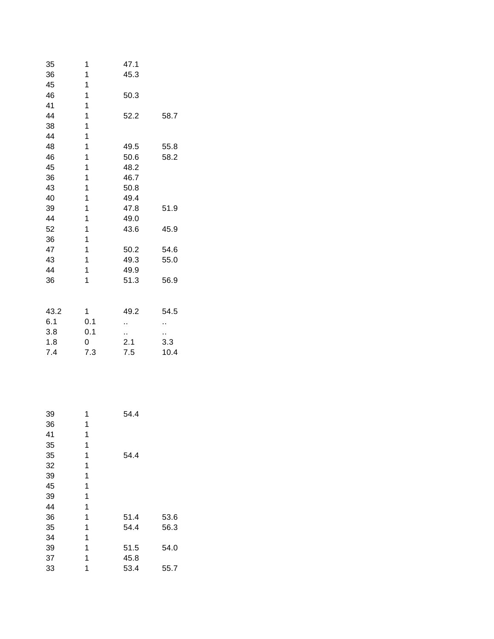| 35   | 1   | 47.1 |      |
|------|-----|------|------|
| 36   | 1   | 45.3 |      |
| 45   | 1   |      |      |
| 46   | 1   | 50.3 |      |
| 41   | 1   |      |      |
| 44   | 1   | 52.2 | 58.7 |
| 38   | 1   |      |      |
| 44   | 1   |      |      |
| 48   | 1   | 49.5 | 55.8 |
| 46   | 1   | 50.6 | 58.2 |
| 45   | 1   | 48.2 |      |
| 36   | 1   | 46.7 |      |
| 43   | 1   | 50.8 |      |
| 40   | 1   | 49.4 |      |
| 39   | 1   | 47.8 | 51.9 |
| 44   | 1   | 49.0 |      |
| 52   | 1   | 43.6 | 45.9 |
| 36   | 1   |      |      |
| 47   | 1   | 50.2 | 54.6 |
| 43   | 1   | 49.3 | 55.0 |
| 44   | 1   | 49.9 |      |
| 36   | 1   | 51.3 | 56.9 |
|      |     |      |      |
| 43.2 | 1   | 49.2 | 54.5 |
| 6.1  | 0.1 | Ω,   | .,   |
| 3.8  | 0.1 | ٠.   | .,   |
| 1.8  | 0   | 2.1  | 3.3  |
| 7.4  | 7.3 | 7.5  | 10.4 |
|      |     |      |      |

| 39 | 1 | 54.4 |      |
|----|---|------|------|
| 36 | 1 |      |      |
| 41 | 1 |      |      |
| 35 | 1 |      |      |
| 35 | 1 | 54.4 |      |
| 32 | 1 |      |      |
| 39 | 1 |      |      |
| 45 | 1 |      |      |
| 39 | 1 |      |      |
| 44 | 1 |      |      |
| 36 | 1 | 51.4 | 53.6 |
| 35 | 1 | 54.4 | 56.3 |
| 34 | 1 |      |      |
| 39 | 1 | 51.5 | 54.0 |
| 37 | 1 | 45.8 |      |
| 33 | 1 | 53.4 | 55.7 |